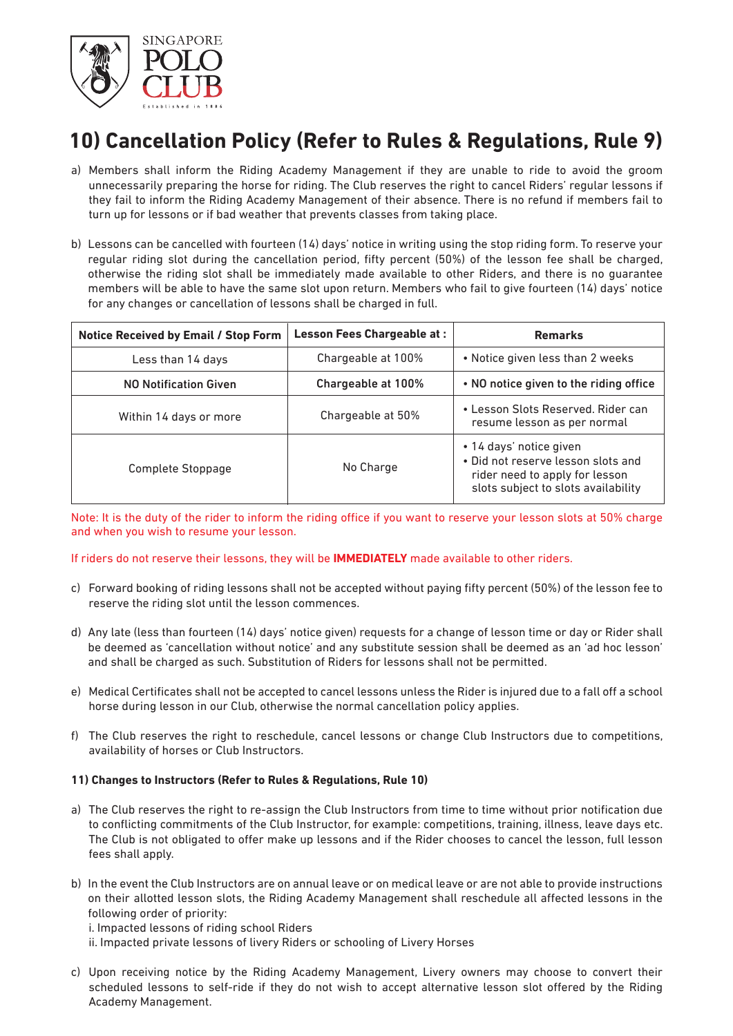

## **10) Cancellation Policy (Refer to Rules & Regulations, Rule 9)**

- a) Members shall inform the Riding Academy Management if they are unable to ride to avoid the groom unnecessarily preparing the horse for riding. The Club reserves the right to cancel Riders' regular lessons if they fail to inform the Riding Academy Management of their absence. There is no refund if members fail to turn up for lessons or if bad weather that prevents classes from taking place.
- b) Lessons can be cancelled with fourteen (14) days' notice in writing using the stop riding form. To reserve your regular riding slot during the cancellation period, fifty percent (50%) of the lesson fee shall be charged, otherwise the riding slot shall be immediately made available to other Riders, and there is no guarantee members will be able to have the same slot upon return. Members who fail to give fourteen (14) days' notice for any changes or cancellation of lessons shall be charged in full.

| <b>Notice Received by Email / Stop Form</b> | <b>Lesson Fees Chargeable at:</b> | <b>Remarks</b>                                                                                                                         |
|---------------------------------------------|-----------------------------------|----------------------------------------------------------------------------------------------------------------------------------------|
| Less than 14 days                           | Chargeable at 100%                | • Notice given less than 2 weeks                                                                                                       |
| <b>NO Notification Given</b>                | Chargeable at 100%                | • NO notice given to the riding office                                                                                                 |
| Within 14 days or more                      | Chargeable at 50%                 | • Lesson Slots Reserved, Rider can<br>resume lesson as per normal                                                                      |
| Complete Stoppage                           | No Charge                         | • 14 days' notice given<br>• Did not reserve lesson slots and<br>rider need to apply for lesson<br>slots subject to slots availability |

Note: It is the duty of the rider to inform the riding office if you want to reserve your lesson slots at 50% charge and when you wish to resume your lesson.

If riders do not reserve their lessons, they will be **IMMEDIATELY** made available to other riders.

- c) Forward booking of riding lessons shall not be accepted without paying fifty percent (50%) of the lesson fee to reserve the riding slot until the lesson commences.
- d) Any late (less than fourteen (14) days' notice given) requests for a change of lesson time or day or Rider shall be deemed as 'cancellation without notice' and any substitute session shall be deemed as an 'ad hoc lesson' and shall be charged as such. Substitution of Riders for lessons shall not be permitted.
- e) Medical Certificates shall not be accepted to cancel lessons unless the Rider is injured due to a fall off a school horse during lesson in our Club, otherwise the normal cancellation policy applies.
- f) The Club reserves the right to reschedule, cancel lessons or change Club Instructors due to competitions, availability of horses or Club Instructors.

## **11) Changes to Instructors (Refer to Rules & Regulations, Rule 10)**

- a) The Club reserves the right to re-assign the Club Instructors from time to time without prior notification due to conflicting commitments of the Club Instructor, for example: competitions, training, illness, leave days etc. The Club is not obligated to offer make up lessons and if the Rider chooses to cancel the lesson, full lesson fees shall apply.
- b) In the event the Club Instructors are on annual leave or on medical leave or are not able to provide instructions on their allotted lesson slots, the Riding Academy Management shall reschedule all affected lessons in the following order of priority:

i. Impacted lessons of riding school Riders

- ii. Impacted private lessons of livery Riders or schooling of Livery Horses
- c) Upon receiving notice by the Riding Academy Management, Livery owners may choose to convert their scheduled lessons to self-ride if they do not wish to accept alternative lesson slot offered by the Riding Academy Management.